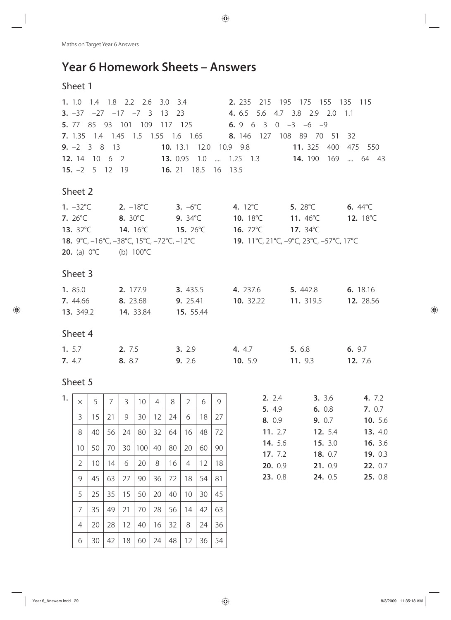# **Year 6 Homework Sheets – Answers**

# Sheet 1

| <b>3.</b> $-37$ $-27$ $-17$ $-7$ 3<br>13 23 4.6.5 5.6 4.7 3.8 2.9 2.0<br>1.1                                        |                    |
|---------------------------------------------------------------------------------------------------------------------|--------------------|
|                                                                                                                     |                    |
| <b>5.</b> 77 85 93 101 109 117 125 <b>6.</b> 9 6 3 0 -3 -6 -9                                                       |                    |
| 7. 1.35 1.4 1.45 1.5 1.55 1.6 1.65 8. 146 127 108 89 70 51<br>32                                                    |                    |
| <b>9.</b> $-2$ 3 8 13<br>10. 13.1 12.0 10.9 9.8<br>11. 325 400                                                      | 475 550            |
| 12. 14 10 6 2 13. 0.95 1.0  1.25 1.3 14. 190 169  64 43                                                             |                    |
| <b>15.</b> $-2$ 5 12 19 <b>16.</b> 21 18.5 16 13.5                                                                  |                    |
| Sheet 2                                                                                                             |                    |
| <b>1.</b> $-32^{\circ}$ C <b>2.</b> $-18^{\circ}$ C <b>3.</b> $-6^{\circ}$ C<br>4. $12^{\circ}$ C 5. $28^{\circ}$ C | 6. $44^{\circ}$ C  |
| <b>7.</b> $26^{\circ}$ C <b>8.</b> $30^{\circ}$ C<br><b>10.</b> 18°C <b>11.</b> 46°C<br>9. $34^{\circ}$ C           | 12. $18^{\circ}$ C |
| 13. 32°C 14. 16°C 15. 26°C 16. 72°C 17. 34°C                                                                        |                    |
| <b>18.</b> 9°C, -16°C, -38°C, 15°C, -72°C, -12°C<br><b>19.</b> 11°C, 21°C, -9°C, 23°C, -57°C, 17°C                  |                    |
| <b>20.</b> (a) $0^{\circ}C$ (b) $100^{\circ}C$                                                                      |                    |
| Sheet 3                                                                                                             |                    |
| 1. 85.0<br><b>2.</b> 177.9 <b>3.</b> 435.5 <b>4.</b> 237.6 <b>5.</b> 442.8                                          | 6. 18.16           |
| 10. 32.22 11. 319.5 12. 28.56<br><b>7.</b> 44.66 <b>8.</b> 23.68<br><b>9.</b> 25.41                                 |                    |
| <b>13.</b> 349.2 <b>14.</b> 33.84 <b>15.</b> 55.44                                                                  |                    |
| Sheet 4                                                                                                             |                    |
| 1. $5.7$<br>5. 6.8<br>2. 7.5<br><b>3.</b> 2.9<br>4. 4.7                                                             | 6. 9.7             |
| 7. 4.7<br>9. 2.6<br><b>10.</b> 5.9<br>11.93<br>8. 8.7                                                               | <b>12.</b> 7.6     |

| 1. | $\times$       | 5  | 7  | 3  | 10  | $\overline{4}$ | 8  | $\overline{2}$ | 6  | 9  |
|----|----------------|----|----|----|-----|----------------|----|----------------|----|----|
|    |                |    |    |    |     |                |    |                |    |    |
|    | 3              | 15 | 21 | 9  | 30  | 12             | 24 | 6              | 18 | 27 |
|    | 8              | 40 | 56 | 24 | 80  | 32             | 64 | 16             | 48 | 72 |
|    | 10             | 50 | 70 | 30 | 100 | 40             | 80 | 20             | 60 | 90 |
|    |                |    |    |    |     |                |    |                |    |    |
|    | $\overline{2}$ | 10 | 14 | 6  | 20  | 8              | 16 | 4              | 12 | 18 |
|    | 9              | 45 | 63 | 27 | 90  | 36             | 72 | 18             | 54 | 81 |
|    | 5              | 25 | 35 | 15 | 50  | 20             | 40 | 10             | 30 | 45 |
|    | 7              | 35 | 49 | 21 | 70  | 28             | 56 | 14             | 42 | 63 |
|    | 4              | 20 | 28 | 12 | 40  | 16             | 32 | 8              | 24 | 36 |
|    | 6              | 30 | 42 | 18 | 60  | 24             | 48 | 12             | 36 | 54 |

| 2.2.4          | 3.3.6          | 4. 7.2           |
|----------------|----------------|------------------|
| 5. 4.9         | 6.0.8          | 7.0.7            |
| 8. 0.9         | 9.0.7          | <b>10.</b> 5.6   |
| 11. $2.7$      | <b>12.</b> 5.4 | <b>13.</b> 4.0   |
| <b>14.</b> 5.6 | 15.3.0         | <b>16.</b> $3.6$ |
| 17.72          | 18. $0.7$      | 19. $0.3$        |
| 20.09          | 21. 0.9        | 22.07            |
| 23. 0.8        | <b>24.</b> 0.5 | 25. 0.8          |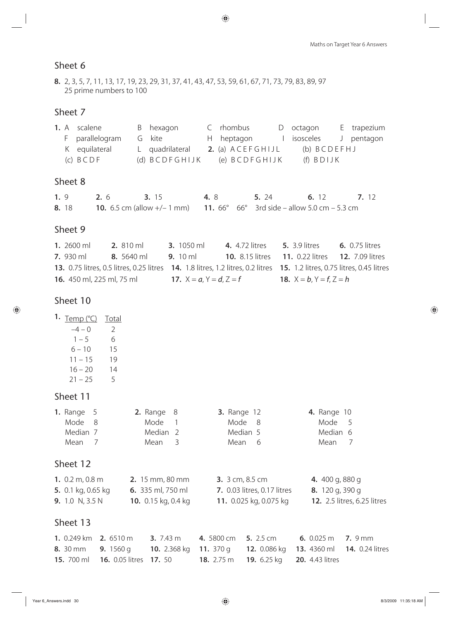**8.** 2, 3, 5, 7, 11, 13, 17, 19, 23, 29, 31, 37, 41, 43, 47, 53, 59, 61, 67, 71, 73, 79, 83, 89, 97 25 prime numbers to 100

### Sheet 7

|     | 1. A                                   | scalene       | hexagon<br>B                         |                  | rhombus          | D           | octagon                          |   | E trapezium |
|-----|----------------------------------------|---------------|--------------------------------------|------------------|------------------|-------------|----------------------------------|---|-------------|
|     | F.                                     | parallelogram | G kite                               | Н.               | heptagon         |             | isosceles                        | J | pentagon    |
|     | K.                                     | equilateral   | L quadrilateral                      |                  | 2. (a) ACEFGHIJL | (b) BCDEFHJ |                                  |   |             |
|     | (d) BCDFGHIJK<br>$(C)$ $B$ $C$ $D$ $F$ |               |                                      |                  | (e) BCDFGHIJK    |             | $(f)$ BDIJK                      |   |             |
|     |                                        |               |                                      |                  |                  |             |                                  |   |             |
|     |                                        | Sheet 8       |                                      |                  |                  |             |                                  |   |             |
| 1.9 |                                        | 2.6           | <b>3.</b> 15                         | 4. 8             |                  | 5. 24       | 6.12                             |   | 7. 12       |
|     | 8.18                                   |               | <b>10.</b> 6.5 cm (allow $+/- 1$ mm) | 11. $66^{\circ}$ | $66^{\circ}$     |             | 3rd side – allow 5.0 cm – 5.3 cm |   |             |

# Sheet 9

| 1. 2600 ml                       | $2.810 \text{ ml}$ | 3. $1050 \text{ ml}$             | <b>4.</b> 4.72 litres | <b>5.</b> 3.9 litres                                                                                                     | <b>6.</b> 0.75 litres |
|----------------------------------|--------------------|----------------------------------|-----------------------|--------------------------------------------------------------------------------------------------------------------------|-----------------------|
| $7.930 \,\mathrm{ml}$            | 8. 5640 ml         | 9. $10 \text{ ml}$               |                       | <b>10.</b> 8.15 litres <b>11.</b> 0.22 litres <b>12.</b> 7.09 litres                                                     |                       |
|                                  |                    |                                  |                       | 13. 0.75 litres, 0.5 litres, 0.25 litres 14. 1.8 litres, 1.2 litres, 0.2 litres 15. 1.2 litres, 0.75 litres, 0.45 litres |                       |
| <b>16.</b> 450 ml, 225 ml, 75 ml |                    | <b>17.</b> $X = a, Y = d, Z = f$ |                       | <b>18.</b> $X = b$ , $Y = f$ , $Z = h$                                                                                   |                       |

### Sheet 10

| Temp (°C) | <b>Total</b>  |
|-----------|---------------|
| $-4 - 0$  | $\mathcal{P}$ |
| $1 - 5$   | 6             |
| $6 - 10$  | 15            |
| $11 - 15$ | 19            |
| $16 - 20$ | 14            |
|           |               |

 $21 - 25$  5

## Sheet 11

| 1. Range $5$                         | 2. Range $8$             | <b>3.</b> Range 12                 | <b>4.</b> Range 10                 |
|--------------------------------------|--------------------------|------------------------------------|------------------------------------|
| Mode<br>- 8                          | Mode                     | Mode 8                             | Mode<br>- 5                        |
| Median 7                             | Median <sub>2</sub>      | Median 5                           | Median 6                           |
| Mean<br>$\overline{7}$               | Mean<br>3                | Mean 6                             | Mean<br>-7                         |
| Sheet 12                             |                          |                                    |                                    |
| 1. $0.2 \text{ m}$ , $0.8 \text{ m}$ | 2. 15 mm, 80 mm          | <b>3.</b> 3 cm, 8.5 cm             | 4. 400 g, 880 g                    |
| 5. 0.1 kg, 0.65 kg                   | <b>6.</b> 335 ml, 750 ml | <b>7.</b> 0.03 litres, 0.17 litres | 8. 120 g, 390 g                    |
| <b>9.</b> 1.0 N, 3.5 N               | 10. $0.15$ kg, 0.4 kg    | 11. 0.025 kg, 0.075 kg             | <b>12.</b> 2.5 litres, 6.25 litres |
| $\sim$ $\sim$ $\sim$ $\sim$          |                          |                                    |                                    |

| <b>1.</b> 0.249 km <b>2.</b> 6510 m                    |  | <b>3.</b> 7.43 m <b>4.</b> 5800 cm <b>5.</b> 2.5 cm <b>6.</b> 0.025 m <b>7.</b> 9 mm |  |
|--------------------------------------------------------|--|--------------------------------------------------------------------------------------|--|
|                                                        |  | 8. 30 mm 9. 1560 g 10. 2.368 kg 11. 370 g 12. 0.086 kg 13. 4360 ml 14. 0.24 litres   |  |
| <b>15.</b> 700 ml <b>16.</b> 0.05 litres <b>17.</b> 50 |  | <b>18.</b> 2.75 m <b>19.</b> 6.25 kg <b>20.</b> 4.43 litres                          |  |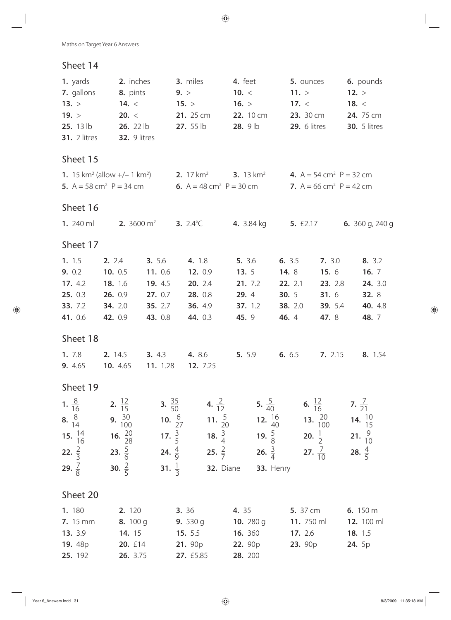| 1. yards<br>7. gallons<br>13. ><br>19. ><br>25. 13 lb<br><b>31.</b> 2 litres   | 2. inches<br>8. pints<br>14. $<$<br>20. <<br>26. 22 lb<br>32. 9 litres   |                                                                                      | 3. miles<br>9. ><br>15. ><br>21. 25 cm<br>$27.55$ lb                                                                                                                                                                                                                                                                                                                                                                                                                                                                                                                                                                                                                                                                                                                                                                           | 4. feet<br>10. $<$<br>16. ><br>22. 10 cm<br>28. 9 lb          | 5. ounces<br>11. ><br>17. <<br><b>23.</b> 30 cm<br>29. 6 litres          |                                                                         | 6. pounds<br>12. ><br>18. $<$<br>24.75 cm<br><b>30.</b> 5 litres    |
|--------------------------------------------------------------------------------|--------------------------------------------------------------------------|--------------------------------------------------------------------------------------|--------------------------------------------------------------------------------------------------------------------------------------------------------------------------------------------------------------------------------------------------------------------------------------------------------------------------------------------------------------------------------------------------------------------------------------------------------------------------------------------------------------------------------------------------------------------------------------------------------------------------------------------------------------------------------------------------------------------------------------------------------------------------------------------------------------------------------|---------------------------------------------------------------|--------------------------------------------------------------------------|-------------------------------------------------------------------------|---------------------------------------------------------------------|
| Sheet 15                                                                       |                                                                          |                                                                                      |                                                                                                                                                                                                                                                                                                                                                                                                                                                                                                                                                                                                                                                                                                                                                                                                                                |                                                               |                                                                          |                                                                         |                                                                     |
| 5. $A = 58$ cm <sup>2</sup> $P = 34$ cm                                        |                                                                          |                                                                                      | <b>1.</b> 15 km <sup>2</sup> (allow +/- 1 km <sup>2</sup> ) <b>2.</b> 17 km <sup>2</sup> <b>3.</b> 13 km <sup>2</sup> <b>4.</b> A = 54 cm <sup>2</sup> P = 32 cm<br>6. $A = 48$ cm <sup>2</sup> P = 30 cm                                                                                                                                                                                                                                                                                                                                                                                                                                                                                                                                                                                                                      |                                                               |                                                                          | 7. $A = 66$ cm <sup>2</sup> $P = 42$ cm                                 |                                                                     |
| Sheet 16                                                                       |                                                                          |                                                                                      |                                                                                                                                                                                                                                                                                                                                                                                                                                                                                                                                                                                                                                                                                                                                                                                                                                |                                                               |                                                                          |                                                                         |                                                                     |
| 1. $240$ ml                                                                    |                                                                          | <b>2.</b> 3600 $m^2$                                                                 | 3. $2.4^{\circ}C$                                                                                                                                                                                                                                                                                                                                                                                                                                                                                                                                                                                                                                                                                                                                                                                                              | <b>4.</b> 3.84 kg                                             | <b>5.</b> £2.17                                                          |                                                                         | <b>6.</b> 360 g, 240 g                                              |
| Sheet 17                                                                       |                                                                          |                                                                                      |                                                                                                                                                                                                                                                                                                                                                                                                                                                                                                                                                                                                                                                                                                                                                                                                                                |                                                               |                                                                          |                                                                         |                                                                     |
| 1. 1.5<br>9. 0.2<br>17. 4.2<br>25.03<br>33. 7.2<br>41. 0.6<br>Sheet 18<br>1.78 | 2. 2.4<br>10. 0.5<br>18. 1.6<br>26. 0.9<br>34. 2.0<br>42. 0.9<br>2. 14.5 | <b>3.</b> 5.6<br>11. 0.6<br>19. 4.5<br>27.0.7<br>35. 2.7<br>43. 0.8<br><b>3.</b> 4.3 | 4. 1.8<br>12. 0.9<br>20. 2.4<br>28. 0.8<br><b>36.</b> 4.9<br>44. 0.3<br>4. 8.6                                                                                                                                                                                                                                                                                                                                                                                                                                                                                                                                                                                                                                                                                                                                                 | 5. 3.6<br>13.5<br>21. 7.2<br>29.4<br>37.1.2<br>45.9<br>5. 5.9 | 6. $3.5$<br>14. 8<br>22. 2.1<br>30.5<br><b>38.</b> 2.0<br>46.4<br>6. 6.5 | 7. 3.0<br>15.6<br>23. 2.8<br>31.6<br><b>39.</b> 5.4<br>47. 8<br>7. 2.15 | 8. 3.2<br>16. $7$<br>24. 3.0<br>32.8<br>40. 4.8<br>48. 7<br>8. 1.54 |
| 9. 4.65                                                                        | 10. 4.65                                                                 | 11. 1.28                                                                             | <b>12.</b> 7.25                                                                                                                                                                                                                                                                                                                                                                                                                                                                                                                                                                                                                                                                                                                                                                                                                |                                                               |                                                                          |                                                                         |                                                                     |
| Sheet 19                                                                       |                                                                          |                                                                                      |                                                                                                                                                                                                                                                                                                                                                                                                                                                                                                                                                                                                                                                                                                                                                                                                                                |                                                               |                                                                          |                                                                         |                                                                     |
| 29. $\frac{7}{8}$                                                              |                                                                          |                                                                                      | <b>1.</b> $\frac{8}{16}$ <b>2.</b> $\frac{12}{15}$ <b>3.</b> $\frac{35}{50}$ <b>4.</b> $\frac{2}{12}$ <b>5.</b> $\frac{5}{40}$ <b>6.</b> $\frac{12}{16}$ <b>7.</b> $\frac{7}{21}$<br><b>8.</b> $\frac{8}{14}$ <b>9.</b> $\frac{30}{100}$ <b>10.</b> $\frac{6}{27}$ <b>11.</b> $\frac{5}{20}$ <b>12.</b> $\frac{16}{40}$ <b>13.</b> $\frac{20}{100}$ <b>14.</b> $\frac{10}{15}$<br><b>15.</b> $\frac{14}{16}$ <b>16.</b> $\frac{20}{28}$ <b>17.</b> $\frac{3}{5}$ <b>18.</b> $\frac{3}{4}$ <b>19.</b> $\frac{5}{8}$ <b>20.</b> $\frac{1}{2}$ <b>21.</b> $\frac{9}{10}$<br><b>22.</b> $\frac{2}{3}$ <b>23.</b> $\frac{5}{6}$ <b>24.</b> $\frac{4}{9}$ <b>25.</b> $\frac{2}{7}$ <b>26.</b> $\frac{3}{4}$ <b>27.</b> $\frac{7}{10}$ <b>28.</b> $\frac{4}{5}$<br><b>30.</b> $\frac{2}{5}$ <b>31.</b> $\frac{1}{3}$ <b>32.</b> Diane | <b>33. Henry</b>                                              |                                                                          |                                                                         |                                                                     |
| Sheet 20                                                                       |                                                                          |                                                                                      |                                                                                                                                                                                                                                                                                                                                                                                                                                                                                                                                                                                                                                                                                                                                                                                                                                |                                                               |                                                                          |                                                                         |                                                                     |
| 1.180<br><b>7.</b> 15 mm<br>13. 3.9<br>25. 192                                 | 26. 3.75                                                                 |                                                                                      | <b>2.</b> 120 <b>3.</b> 36 <b>4.</b> 35 <b>5.</b> 37 cm <b>6.</b> 150 m<br><b>8.</b> 100 g <b>9.</b> 530 g <b>10.</b> 280 g <b>11.</b> 750 ml <b>12.</b> 100 ml<br><b>14.</b> 15 <b>15.</b> 5.5 <b>16.</b> 360 <b>17.</b> 2.6 <b>18.</b> 1.5<br><b>19.</b> 48p <b>20.</b> £14 <b>21.</b> 90p <b>22.</b> 90p<br>27. £5.85                                                                                                                                                                                                                                                                                                                                                                                                                                                                                                       | 28. 200                                                       |                                                                          | <b>23.</b> 90p                                                          | <b>24.</b> 5p                                                       |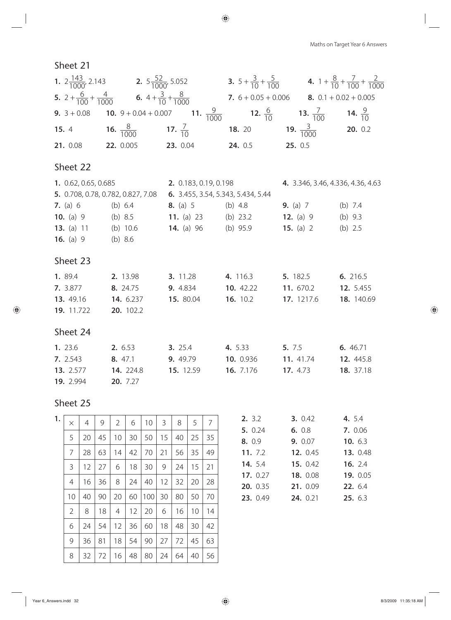|                                    | <b>1.</b> $2\frac{143}{1000}$ , 2.143 <b>2.</b> $5\frac{52}{1000}$ , 5.052 <b>3.</b> $5 + \frac{3}{10} + \frac{5}{100}$ <b>4.</b> $1 + \frac{8}{10} + \frac{7}{100} + \frac{2}{1000}$ |                                   |  |
|------------------------------------|---------------------------------------------------------------------------------------------------------------------------------------------------------------------------------------|-----------------------------------|--|
|                                    | <b>5.</b> $2 + \frac{6}{100} + \frac{4}{1000}$ <b>6.</b> $4 + \frac{3}{10} + \frac{8}{1000}$ <b>7.</b> $6 + 0.05 + 0.006$ <b>8.</b> $0.1 + 0.02 + 0.005$                              |                                   |  |
|                                    | <b>9.</b> $3 + 0.08$ <b>10.</b> $9 + 0.04 + 0.007$ <b>11.</b> $\frac{9}{1000}$ <b>12.</b> $\frac{6}{10}$ <b>13.</b> $\frac{7}{100}$ <b>14.</b> $\frac{9}{10}$                         |                                   |  |
|                                    | <b>15.</b> 4 <b>16.</b> $\frac{8}{1000}$ <b>17.</b> $\frac{7}{10}$ <b>18.</b> 20 <b>19.</b> $\frac{3}{1000}$ <b>20.</b> 0.2                                                           |                                   |  |
|                                    | <b>21.</b> 0.08 <b>22.</b> 0.005 <b>23.</b> 0.04 <b>24.</b> 0.5 <b>25.</b> 0.5                                                                                                        |                                   |  |
| Sheet 22                           |                                                                                                                                                                                       |                                   |  |
|                                    | <b>1.</b> 0.62, 0.65, 0.685 <b>2.</b> 0.183, 0.19, 0.198                                                                                                                              | 4. 3.346, 3.46, 4.336, 4.36, 4.63 |  |
|                                    | <b>5.</b> 0.708, 0.78, 0.782, 0.827, 7.08 <b>6.</b> 3.455, 3.54, 5.343, 5.434, 5.44                                                                                                   |                                   |  |
|                                    | <b>7.</b> (a) 6 (b) 6.4 <b>8.</b> (a) 5 (b) 4.8 <b>9.</b> (a) 7 (b) 7.4                                                                                                               |                                   |  |
|                                    | <b>10.</b> (a) 9 (b) 8.5 <b>11.</b> (a) 23 (b) 23.2 <b>12.</b> (a) 9 (b) 9.3                                                                                                          |                                   |  |
|                                    | <b>13.</b> (a) 11 (b) 10.6 <b>14.</b> (a) 96 (b) 95.9 <b>15.</b> (a) 2 (b) 2.5                                                                                                        |                                   |  |
| <b>16.</b> (a) 9 (b) 8.6           |                                                                                                                                                                                       |                                   |  |
| Sheet 23                           |                                                                                                                                                                                       |                                   |  |
|                                    | <b>1.</b> 89.4 <b>2.</b> 13.98 <b>3.</b> 11.28 <b>4.</b> 116.3 <b>5.</b> 182.5 <b>6.</b> 216.5                                                                                        |                                   |  |
|                                    | <b>7.</b> 3.877 <b>8.</b> 24.75 <b>9.</b> 4.834 <b>10.</b> 42.22 <b>11.</b> 670.2 <b>12.</b> 5.455                                                                                    |                                   |  |
|                                    | 13. 49.16 14. 6.237 15. 80.04 16. 10.2 17. 1217.6 18. 140.69                                                                                                                          |                                   |  |
| <b>19.</b> 11.722 <b>20.</b> 102.2 |                                                                                                                                                                                       |                                   |  |
| Sheet 24                           |                                                                                                                                                                                       |                                   |  |

| 1.23.6           | <b>2.</b> 6.53   | 3.25.4    | 4. 5.33          | 5. 7.5    | 6.46.71          |
|------------------|------------------|-----------|------------------|-----------|------------------|
| 7.2.543          | 8.47.1           | 9.49.79   | 10. 0.936        | 11, 41.74 | <b>12.</b> 445.8 |
| <b>13.</b> 2.577 | <b>14.</b> 224.8 | 15. 12.59 | <b>16.</b> 7.176 | 17, 4.73  | <b>18.</b> 37.18 |
| <b>19.</b> 2.994 | 20. 7.27         |           |                  |           |                  |

| 1. | $\times$       | 4  | 9  | $\overline{2}$ | 6  | 10  | 3  | 8  | 5  | 7  | 2. 3.2               | 3. 0.42              | 4. 5.4         |
|----|----------------|----|----|----------------|----|-----|----|----|----|----|----------------------|----------------------|----------------|
|    | 5              | 20 | 45 | 10             | 30 | 50  | 15 | 40 | 25 | 35 | 5. 0.24<br>8. 0.9    | 6.0.8<br>9. 0.07     | 7. 0.0<br>10.6 |
|    | 7              | 28 | 63 | 14             | 42 | 70  | 21 | 56 | 35 | 49 | 11.7.2               | 12. 0.45             | 13.0           |
|    | 3              | 12 | 27 | 6              | 18 | 30  | 9  | 24 | 15 | 21 | <b>14.</b> 5.4       | 15. 0.42             | 16.2           |
|    | 4              | 16 | 36 | 8              | 24 | 40  | 12 | 32 | 20 | 28 | 17. 0.27<br>20. 0.35 | 18. 0.08<br>21. 0.09 | 19.0<br>22. 6. |
|    | 10             | 40 | 90 | 20             | 60 | 100 | 30 | 80 | 50 | 70 | 23. 0.49             | 24. 0.21             | 25. 6.         |
|    | $\overline{2}$ | 8  | 18 | 4              | 12 | 20  | 6  | 16 | 10 | 14 |                      |                      |                |
|    | 6              | 24 | 54 | 12             | 36 | 60  | 18 | 48 | 30 | 42 |                      |                      |                |
|    | 9              | 36 | 81 | 18             | 54 | 90  | 27 | 72 | 45 | 63 |                      |                      |                |
|    | 8              | 32 | 72 | 16             | 48 | 80  | 24 | 64 | 40 | 56 |                      |                      |                |

| 2.3.2            | 3.0.42          | 4. 5.4    |
|------------------|-----------------|-----------|
| 5. 0.24          | 6. $0.8$        | 7. 0.06   |
| 8. 0.9           | 9. 0.07         | 10. $6.3$ |
| 11. $7.2$        | <b>12.</b> 0.45 | 13. 0.48  |
| <b>14.</b> $5.4$ | 15. $0.42$      | 16. $2.4$ |
| 17.0.27          | 18. 0.08        | 19.005    |
| 20. 0.35         | 21. 0.09        | 22.64     |
| 23. 0.49         | 24. 0.21        | 25.63     |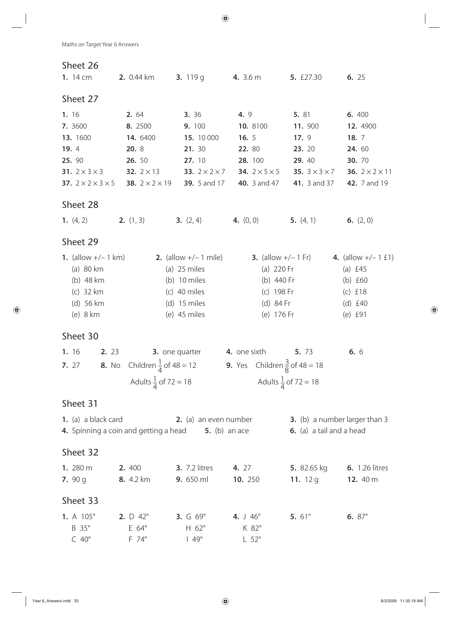| Sheet 26                                                                    |                                                   |                                                                   |                                                 |                              |                                          |  |
|-----------------------------------------------------------------------------|---------------------------------------------------|-------------------------------------------------------------------|-------------------------------------------------|------------------------------|------------------------------------------|--|
| 1. 14 cm                                                                    | 3. $119q$<br><b>2.</b> 0.44 km                    |                                                                   | <b>4.</b> 3.6 m                                 | 5. £27.30                    | 6. 25                                    |  |
| Sheet 27                                                                    |                                                   |                                                                   |                                                 |                              |                                          |  |
| 1. 16                                                                       | 2. 64                                             | 3. 36                                                             | 4.9                                             | 5. 81                        | 6. 400                                   |  |
| 7. 3600                                                                     | 8. 2500                                           | 9. 100                                                            | 10. 8100                                        | 11.900                       | 12. 4900                                 |  |
| 13. 1600                                                                    | 14. 6400                                          | 15. 10 000                                                        | 16. $5$                                         | 17.9                         | 18.7                                     |  |
| 19.4                                                                        | 20. 8                                             | 21. 30                                                            | 22. 80                                          | 23. 20                       | 24. 60                                   |  |
| 25. 90                                                                      | 26. 50                                            | 27. 10                                                            | 28. 100                                         | 29. 40                       | 30. 70                                   |  |
| 31. $2 \times 3 \times 3$                                                   | 32. $2 \times 13$                                 | 33. $2 \times 2 \times 7$                                         | <b>34.</b> $2 \times 5 \times 5$                | 35. $3 \times 3 \times 7$    | 36. $2 \times 2 \times 11$               |  |
| <b>37.</b> $2 \times 2 \times 3 \times 5$ <b>38.</b> $2 \times 2 \times 19$ |                                                   | <b>39.</b> 5 and 17                                               | <b>40.</b> 3 and 47                             | <b>41.</b> 3 and 37          | 42. 7 and 19                             |  |
| Sheet 28                                                                    |                                                   |                                                                   |                                                 |                              |                                          |  |
| 1. $(4, 2)$                                                                 | <b>2.</b> $(1, 3)$                                | <b>3.</b> $(2, 4)$                                                | 4. $(0, 0)$                                     | 5. $(4, 1)$                  | 6. $(2, 0)$                              |  |
| Sheet 29                                                                    |                                                   |                                                                   |                                                 |                              |                                          |  |
| <b>1.</b> (allow $+/- 1$ km)                                                |                                                   | <b>2.</b> (allow $+/- 1$ mile)                                    |                                                 | <b>3.</b> (allow $+/- 1$ Fr) | 4. (allow $+/- 1 \tImes 1$ )             |  |
| $(a)$ 80 km                                                                 |                                                   | (a) $25$ miles                                                    | (a) $220$ Fr                                    |                              | (a) $£45$                                |  |
| (b) 48 km                                                                   |                                                   | (b) $10$ miles                                                    | (b) 440 Fr                                      |                              | (b) $£60$                                |  |
| $(c)$ 32 km                                                                 |                                                   | $(c)$ 40 miles                                                    | (c) 198 Fr                                      |                              | $(c)$ £18                                |  |
| $(d)$ 56 km                                                                 |                                                   | $(d)$ 15 miles                                                    | (d) 84 Fr                                       |                              | (d) $£40$                                |  |
| (e) $8 \text{ km}$                                                          |                                                   | (e) $45$ miles                                                    | (e) 176 Fr                                      |                              | (e) £91                                  |  |
| Sheet 30                                                                    |                                                   |                                                                   |                                                 |                              |                                          |  |
| 1.16<br>2. 23                                                               |                                                   | 3. one quarter                                                    | <b>4.</b> one sixth                             | 5. 73                        | 6. 6                                     |  |
| <b>7.</b> 27 <b>8.</b> No Children $\frac{1}{4}$ of 48 = 12                 |                                                   |                                                                   | <b>9.</b> Yes Children $\frac{3}{8}$ of 48 = 18 |                              |                                          |  |
|                                                                             | Adults $\frac{1}{4}$ of 72 = 18                   |                                                                   | Adults $\frac{1}{4}$ of 72 = 18                 |                              |                                          |  |
| Sheet 31                                                                    |                                                   |                                                                   |                                                 |                              |                                          |  |
| 1. (a) a black card                                                         |                                                   | <b>2.</b> (a) an even number                                      |                                                 |                              | 3. (b) a number larger than 3            |  |
|                                                                             |                                                   | <b>4.</b> Spinning a coin and getting a head <b>5.</b> (b) an ace |                                                 | 6. (a) a tail and a head     |                                          |  |
| Sheet 32                                                                    |                                                   |                                                                   |                                                 |                              |                                          |  |
| 1. 280 m                                                                    | 2.400                                             | <b>3.</b> 7.2 litres                                              | 4. 27                                           |                              | <b>5.</b> 82.65 kg <b>6.</b> 1.26 litres |  |
| 7. $90 g$                                                                   | <b>8.</b> 4.2 km                                  | 9. 650 ml                                                         | 10. 250                                         | 11. $12g$                    | 12. $40 \text{ m}$                       |  |
| Sheet 33                                                                    |                                                   |                                                                   |                                                 |                              |                                          |  |
| 1. A $105^\circ$                                                            | <b>2.</b> $D \ 42^\circ$ <b>3.</b> $G \ 69^\circ$ |                                                                   | 4. $\sqrt{4.6^\circ}$                           | 5. $61^{\circ}$              | 6. $87^{\circ}$                          |  |
| B 35°                                                                       | E 64°                                             | H $62^\circ$                                                      | K 82°                                           |                              |                                          |  |
| $C$ 40 $^{\circ}$                                                           | $F$ 74 $^{\circ}$                                 | $149^\circ$                                                       | $L 52^\circ$                                    |                              |                                          |  |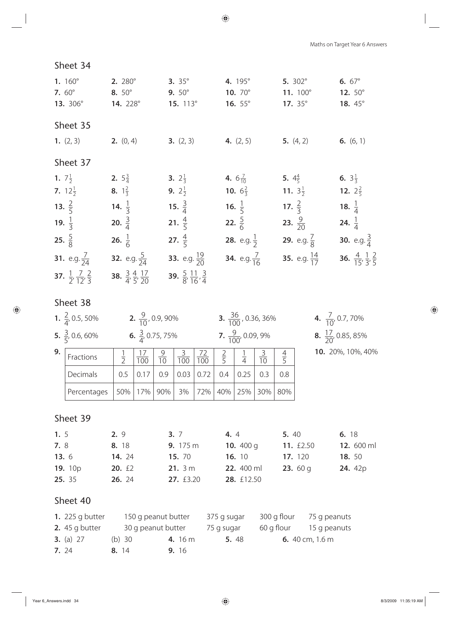| Maths on Target Year 6 Answers |  |  |
|--------------------------------|--|--|
|--------------------------------|--|--|

| 1. $160^{\circ}$<br><b>7.</b> $60^{\circ}$<br>13. 306° | $2.280^\circ$<br>8. $50^{\circ}$<br><b>14.</b> 228°  | $3.35^{\circ}$<br>$9.50^{\circ}$<br>15. 113°         | 4. 195°<br>10. $70^{\circ}$<br>16. $55^{\circ}$ | 5. $302^{\circ}$<br>11. $100^\circ$<br>17. $35^{\circ}$ | 6. $67^{\circ}$<br>12. $50^{\circ}$<br>18.45°             |
|--------------------------------------------------------|------------------------------------------------------|------------------------------------------------------|-------------------------------------------------|---------------------------------------------------------|-----------------------------------------------------------|
| Sheet 35                                               |                                                      |                                                      |                                                 |                                                         |                                                           |
| 1. $(2, 3)$                                            | <b>2.</b> $(0, 4)$                                   | <b>3.</b> $(2, 3)$ <b>4.</b> $(2, 5)$                |                                                 | <b>5.</b> $(4, 2)$ <b>6.</b> $(6, 1)$                   |                                                           |
| Sheet 37                                               |                                                      |                                                      |                                                 |                                                         |                                                           |
| 1. $7\frac{1}{2}$                                      | <b>2.</b> $5\frac{3}{4}$                             | <b>3.</b> $2\frac{1}{3}$                             | 4. $6\frac{7}{10}$                              | 5. $4\frac{4}{5}$                                       | 6. $3\frac{1}{3}$                                         |
| <b>7.</b> $12\frac{1}{2}$                              | 8. $1\frac{2}{3}$                                    | <b>9.</b> $2\frac{1}{2}$                             | <b>10.</b> $6\frac{2}{3}$                       | <b>11.</b> $3\frac{1}{2}$                               | <b>12.</b> $2\frac{2}{5}$                                 |
| 13. $\frac{2}{5}$                                      | 14. $\frac{1}{3}$ 15. $\frac{3}{4}$                  |                                                      | 16. $\frac{1}{5}$                               | 17. $\frac{2}{3}$                                       | 18. $\frac{1}{4}$                                         |
| 19. $\frac{1}{3}$                                      | 20. $\frac{3}{4}$                                    | 21. $\frac{4}{5}$                                    | 22. $\frac{5}{6}$                               | 23. $\frac{9}{20}$                                      | 24. $\frac{1}{4}$                                         |
| 25. $\frac{5}{8}$                                      | 26. $\frac{1}{6}$                                    | 27. $\frac{4}{5}$                                    | <b>28.</b> e.g. $\frac{1}{2}$                   | <b>29.</b> e.g. $\frac{7}{8}$                           | <b>30.</b> e.g. $\frac{3}{4}$                             |
| <b>31.</b> e.g. $\frac{7}{24}$                         | <b>32.</b> e.g. $\frac{5}{24}$                       | <b>33.</b> e.g. $\frac{19}{20}$                      | <b>34.</b> e.g. $\frac{7}{16}$                  | <b>35.</b> e.g. $\frac{14}{17}$                         | <b>36.</b> $\frac{4}{15}$ , $\frac{1}{3}$ , $\frac{2}{5}$ |
| <b>37.</b> $\frac{1}{2}, \frac{7}{12}, \frac{2}{3}$    | <b>38.</b> $\frac{3}{4}, \frac{4}{5}, \frac{17}{20}$ | <b>39.</b> $\frac{5}{8}, \frac{11}{16}, \frac{3}{4}$ |                                                 |                                                         |                                                           |

Sheet 34

|                | <b>1.</b> $\frac{2}{4}$ , 0.5, 50% |               |                  | <b>2.</b> $\frac{9}{10}$ , 0.9, 90% |                 |                  |             |                                      | <b>3.</b> $\frac{36}{100}$ , 0.36, 36% |         | 4. $\frac{7}{10}$ , 0.7, 70%   |
|----------------|------------------------------------|---------------|------------------|-------------------------------------|-----------------|------------------|-------------|--------------------------------------|----------------------------------------|---------|--------------------------------|
|                | 5. $\frac{3}{5}$ , 0.6, 60%        |               |                  | 6. $\frac{3}{4}$ , 0.75, 75%        |                 |                  |             | <b>7.</b> $\frac{9}{100}$ , 0.09, 9% |                                        |         | 8. $\frac{17}{20}$ , 0.85, 85% |
| 9.             | Fractions                          | $\frac{1}{2}$ | $\overline{100}$ | $\frac{9}{10}$                      | $\frac{3}{100}$ | $\frac{72}{100}$ | $rac{2}{5}$ | $\frac{1}{4}$                        | $rac{3}{10}$                           |         | 10. 20%, 10%, 40%              |
|                | Decimals                           | 0.5           | 0.17             | 0.9                                 | 0.03            | 0.72             | 0.4         | 0.25                                 | 0.3                                    | 0.8     |                                |
|                | Percentages                        | 50%           | 17%              | 90%                                 | 3%              | 72%              | 40%         | 25%                                  | 30%                                    | 80%     |                                |
|                | Sheet 39                           |               |                  |                                     |                 |                  |             |                                      |                                        |         |                                |
| 1 <sub>5</sub> |                                    |               |                  |                                     |                 |                  |             | $\Lambda$ $\Lambda$                  |                                        | $5 \pi$ | 6.18                           |

| 1. 5           | 2.9             | 3.7                | 4.4               | 5.40            | 6. 18             |
|----------------|-----------------|--------------------|-------------------|-----------------|-------------------|
| 7.8            | 8. 18           | 9. $175 \text{ m}$ | 10. $400q$        | 11. $£2.50$     | <b>12.</b> 600 ml |
| 13.6           | <b>14.</b> 24   | <b>15.</b> 70      | <b>16.</b> 10     | <b>17.</b> 120  | <b>18.</b> 50     |
| <b>19.</b> 10p | <b>20.</b> $£2$ | 21.3m              | <b>22.</b> 400 ml | <b>23.</b> 60 g | <b>24.</b> 42p    |
| 25. 35         | <b>26.</b> 24   | 27. $£3.20$        | <b>28.</b> £12.50 |                 |                   |
|                |                 |                    |                   |                 |                   |

| 1. 225 g butter    | 150 g peanut butter |        |              | 375 g sugar    |                            | 300 g flour | 75 g peanuts |                            |
|--------------------|---------------------|--------|--------------|----------------|----------------------------|-------------|--------------|----------------------------|
| 2. $45$ q butter   | 30 g peanut butter  |        |              | 75 g sugar     | 60 g flour<br>15 g peanuts |             |              |                            |
| <b>3.</b> (a) $27$ |                     | (b) 30 |              | <b>4.</b> 16 m | 5.48                       |             |              | 6. $40 \text{ cm}$ , 1.6 m |
| 7. 24              | 8. 14               |        | <b>9.</b> 16 |                |                            |             |              |                            |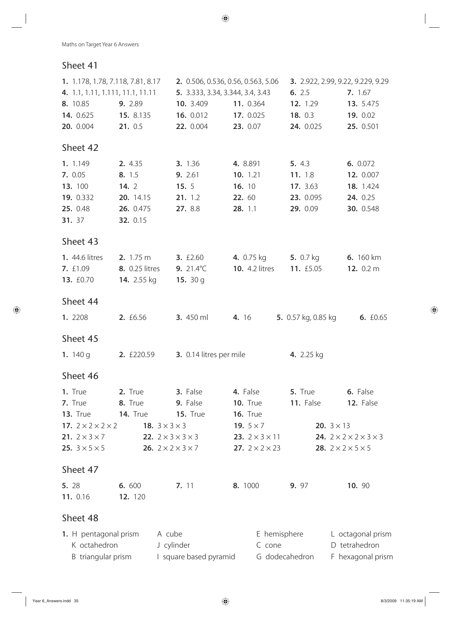| 1. 1.178, 1.78, 7.118, 7.81, 8.17  |                                  |                                    | 2. 0.506, 0.536, 0.56, 0.563, 5.06 | 3. 2.922, 2.99, 9.22, 9.229, 9.29 |                                             |  |
|------------------------------------|----------------------------------|------------------------------------|------------------------------------|-----------------------------------|---------------------------------------------|--|
|                                    | 4. 1.1, 1.11, 1.111, 11.1, 11.11 | 5. 3.333, 3.34, 3.344, 3.4, 3.43   |                                    | 6. 2.5                            | 7. 1.67                                     |  |
| 8. 10.85                           | 9. 2.89                          | 10. 3.409                          | 11. 0.364                          | 12. 1.29                          | 13. 5.475                                   |  |
| 14. 0.625                          | 15. 8.135                        | 16. 0.012                          | 17. 0.025                          | 18. 0.3                           | 19. 0.02                                    |  |
| 20. 0.004                          | 21. 0.5                          | 22. 0.004                          | 23. 0.07                           | 24. 0.025                         | 25. 0.501                                   |  |
| Sheet 42                           |                                  |                                    |                                    |                                   |                                             |  |
| 1. 1.149                           | 2. 4.35                          | 3. 1.36                            | 4. 8.891                           | 5. 4.3                            | 6. 0.072                                    |  |
| 7. 0.05                            | 8. 1.5                           | 9. 2.61                            | 10. 1.21                           | 11. 1.8                           | 12. 0.007                                   |  |
| 13. 100                            | 14.2                             | 15.5                               | 16. 10                             | 17. 3.63                          | 18. 1.424                                   |  |
| 19. 0.332                          | 20. 14.15                        | 21.12                              | 22. 60                             | 23. 0.095                         | 24. 0.25                                    |  |
| 25. 0.48                           | 26. 0.475                        | 27. 8.8                            | 28. 1.1                            | 29. 0.09                          | 30. 0.548                                   |  |
| 31. 37                             | 32. 0.15                         |                                    |                                    |                                   |                                             |  |
| Sheet 43                           |                                  |                                    |                                    |                                   |                                             |  |
| <b>1.</b> 44.6 litres              | $2.1.75 \text{ m}$               | $3. \t£2.60$                       | <b>4.</b> 0.75 kg                  | 5. $0.7$ kg                       | <b>6.</b> 160 km                            |  |
| <b>7.</b> £1.09                    | 8. 0.25 litres                   | 9. $21.4^{\circ}$ C                | <b>10.</b> 4.2 litres              | 11. £5.05                         | 12. $0.2 m$                                 |  |
| 13. £0.70                          | <b>14.</b> 2.55 kg               | 15. $30q$                          |                                    |                                   |                                             |  |
| Sheet 44                           |                                  |                                    |                                    |                                   |                                             |  |
| 1. 2208                            | 2. £6.56                         | <b>3.</b> 450 ml                   | 4. 16                              | <b>5.</b> 0.57 kg, 0.85 kg        | 6. $£0.65$                                  |  |
| Sheet 45                           |                                  |                                    |                                    |                                   |                                             |  |
| 1. $140q$                          | <b>2.</b> £220.59                | 3. 0.14 litres per mile            |                                    | 4. 2.25 kg                        |                                             |  |
| Sheet 46                           |                                  |                                    |                                    |                                   |                                             |  |
| 1. True                            | 2. True                          | 3. False                           | 4. False                           | 5. True                           | 6. False                                    |  |
| 7. True                            | 8. True                          | 9. False                           | <b>10. True</b>                    | 11. False                         | 12. False                                   |  |
| 13. True                           | <b>14. True</b>                  | <b>15. True</b>                    | <b>16. True</b>                    |                                   |                                             |  |
| 17. $2 \times 2 \times 2 \times 2$ | 18. $3 \times 3 \times 3$        |                                    | 19. $5 \times 7$                   |                                   | <b>20.</b> $3 \times 13$                    |  |
| <b>21.</b> $2 \times 3 \times 7$   |                                  | 22. $2 \times 3 \times 3 \times 3$ | <b>23.</b> $2 \times 3 \times 11$  |                                   | 24. $2 \times 2 \times 2 \times 3 \times 3$ |  |
| <b>25.</b> $3 \times 5 \times 5$   |                                  | 26. $2 \times 2 \times 3 \times 7$ | <b>27.</b> $2 \times 2 \times 23$  |                                   | 28. $2 \times 2 \times 5 \times 5$          |  |
| Sheet 47                           |                                  |                                    |                                    |                                   |                                             |  |
| 5. 28                              | 6. 600                           | 7. 11                              | 8. 1000                            | 9. 97                             | 10. 90                                      |  |
| 11. 0.16                           | 12. 120                          |                                    |                                    |                                   |                                             |  |
| Sheet 48                           |                                  |                                    |                                    |                                   |                                             |  |
| 1. H pentagonal prism              |                                  | A cube                             | E hemisphere                       |                                   | L octagonal prism                           |  |
| K octahedron                       |                                  | J cylinder                         | C cone                             |                                   | D tetrahedron                               |  |
| B triangular prism                 |                                  | I square based pyramid             |                                    | G dodecahedron                    | F hexagonal prism                           |  |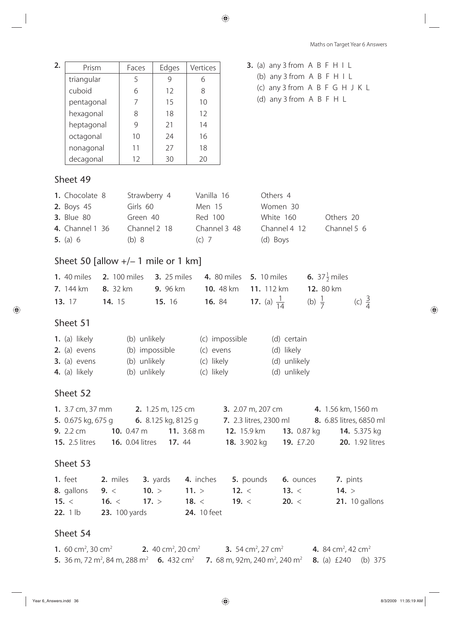| 2. | Prism                                                   |                 | Faces               | Edges              | Vertices     |                  |                                                    | <b>3.</b> (a) any 3 from $A$ $B$ $F$ $H$ $I$ $L$                 |                                                                                                                                                                                      |
|----|---------------------------------------------------------|-----------------|---------------------|--------------------|--------------|------------------|----------------------------------------------------|------------------------------------------------------------------|--------------------------------------------------------------------------------------------------------------------------------------------------------------------------------------|
|    | triangular                                              |                 | 5                   | 9                  | 6            |                  |                                                    | (b) any 3 from $A$ $B$ $F$ $H$ $I$ $L$                           |                                                                                                                                                                                      |
|    | cuboid                                                  |                 | 6                   | 12                 | 8            |                  |                                                    |                                                                  | (c) any 3 from A B F G H J K L                                                                                                                                                       |
|    | pentagonal                                              |                 | $\overline{7}$      | 15                 | 10           |                  |                                                    | (d) any 3 from A B F H L                                         |                                                                                                                                                                                      |
|    | hexagonal                                               |                 | 8                   | 18                 | 12           |                  |                                                    |                                                                  |                                                                                                                                                                                      |
|    | heptagonal                                              |                 | 9                   | 21                 | 14           |                  |                                                    |                                                                  |                                                                                                                                                                                      |
|    | octagonal                                               |                 | 10                  | 24                 | 16           |                  |                                                    |                                                                  |                                                                                                                                                                                      |
|    | nonagonal                                               |                 | 11                  | 27                 | 18           |                  |                                                    |                                                                  |                                                                                                                                                                                      |
|    | decagonal                                               |                 | 12                  | 30                 | 20           |                  |                                                    |                                                                  |                                                                                                                                                                                      |
|    | Sheet 49                                                |                 |                     |                    |              |                  |                                                    |                                                                  |                                                                                                                                                                                      |
|    | 1. Chocolate 8                                          |                 | Strawberry 4        |                    | Vanilla 16   |                  | Others 4                                           |                                                                  |                                                                                                                                                                                      |
|    | <b>2.</b> Boys 45                                       |                 | Girls 60            |                    | Men 15       |                  | Women 30                                           |                                                                  |                                                                                                                                                                                      |
|    | <b>3.</b> Blue 80                                       |                 | Green 40            |                    | Red 100      |                  | White 160                                          |                                                                  | Others 20                                                                                                                                                                            |
|    | <b>4.</b> Channel 1 36                                  |                 | Channel 2 18        |                    | Channel 3 48 |                  |                                                    | Channel 4 12                                                     | Channel 5 6                                                                                                                                                                          |
|    | 5. (a) $6$                                              |                 | (b) 8               |                    | $(C)$ 7      |                  | (d) Boys                                           |                                                                  |                                                                                                                                                                                      |
|    | Sheet 50 [allow $+/- 1$ mile or 1 km]                   |                 |                     |                    |              |                  |                                                    |                                                                  |                                                                                                                                                                                      |
|    | <b>1.</b> 40 miles                                      |                 | <b>2.</b> 100 miles | <b>3.</b> 25 miles |              |                  | <b>4.</b> 80 miles <b>5.</b> 10 miles              |                                                                  | <b>6.</b> 37 $\frac{1}{2}$ miles                                                                                                                                                     |
|    | <b>7.</b> 144 km                                        | <b>8.</b> 32 km |                     | <b>9.</b> 96 km    |              | <b>10.</b> 48 km | 11. 112 km                                         | 12. 80 km                                                        |                                                                                                                                                                                      |
|    | 13. 17                                                  | <b>14.</b> 15   |                     | <b>15.</b> 16      |              | <b>16.</b> 84    |                                                    | <b>17.</b> (a) $\frac{1}{14}$ (b) $\frac{1}{7}$                  | (c) $\frac{3}{4}$                                                                                                                                                                    |
|    | Sheet 51                                                |                 |                     |                    |              |                  |                                                    |                                                                  |                                                                                                                                                                                      |
|    | 1. (a) likely                                           |                 | (b) unlikely        |                    |              | (c) impossible   |                                                    | (d) certain                                                      |                                                                                                                                                                                      |
|    | $2.$ (a) evens                                          |                 | (b) impossible      |                    | (c) evens    |                  |                                                    | (d) likely                                                       |                                                                                                                                                                                      |
|    | $3.$ (a) evens                                          |                 | (b) unlikely        |                    | (c) likely   |                  |                                                    | (d) unlikely                                                     |                                                                                                                                                                                      |
|    |                                                         |                 |                     |                    |              |                  | 4. (a) likely (b) unlikely (c) likely (d) unlikely |                                                                  |                                                                                                                                                                                      |
|    | Sheet 52                                                |                 |                     |                    |              |                  |                                                    |                                                                  |                                                                                                                                                                                      |
|    |                                                         |                 |                     |                    |              |                  |                                                    |                                                                  | <b>1.</b> 3.7 cm, 37 mm <b>2.</b> 1.25 m, 125 cm <b>3.</b> 2.07 m, 207 cm <b>4.</b> 1.56 km, 1560 m                                                                                  |
|    |                                                         |                 |                     |                    |              |                  |                                                    |                                                                  | <b>5.</b> 0.675 kg, 675 g <b>6.</b> 8.125 kg, 8125 g <b>7.</b> 2.3 litres, 2300 ml <b>8.</b> 6.85 litres, 6850 ml                                                                    |
|    |                                                         |                 |                     |                    |              |                  |                                                    |                                                                  | <b>9.</b> 2.2 cm <b>10.</b> 0.47 m <b>11.</b> 3.68 m <b>12.</b> 15.9 km <b>13.</b> 0.87 kg <b>14.</b> 5.375 kg                                                                       |
|    |                                                         |                 |                     |                    |              |                  |                                                    |                                                                  | 15. 2.5 litres 16. 0.04 litres 17. 44 18. 3.902 kg 19. £7.20 20. 1.92 litres                                                                                                         |
|    | Sheet 53                                                |                 |                     |                    |              |                  |                                                    |                                                                  |                                                                                                                                                                                      |
|    |                                                         |                 |                     |                    |              |                  |                                                    | 1. feet 2. miles 3. yards 4. inches 5. pounds 6. ounces 7. pints |                                                                                                                                                                                      |
|    |                                                         |                 |                     |                    |              |                  |                                                    | 8. gallons 9. < 10. > 11. > 12. < 13. < 14. >                    |                                                                                                                                                                                      |
|    |                                                         |                 |                     |                    |              |                  |                                                    |                                                                  | <b>15.</b> < <b>16.</b> < <b>17.</b> > <b>18.</b> < <b>19.</b> < <b>20.</b> < <b>21.</b> 10 gallons                                                                                  |
|    | <b>22.</b> 1 lb <b>23.</b> 100 yards <b>24.</b> 10 feet |                 |                     |                    |              |                  |                                                    |                                                                  |                                                                                                                                                                                      |
|    | Sheet 54                                                |                 |                     |                    |              |                  |                                                    |                                                                  |                                                                                                                                                                                      |
|    |                                                         |                 |                     |                    |              |                  |                                                    |                                                                  | 1 60 cm <sup>2</sup> 20 cm <sup>2</sup> <b>2</b> 40 cm <sup>2</sup> 20 cm <sup>2</sup> <b>2</b> 54 cm <sup>2</sup> 27 cm <sup>2</sup> <b>4</b> 84 cm <sup>2</sup> 42 cm <sup>2</sup> |

**1.** 60 cm<sup>2</sup>, 30 cm<sup>2</sup> **2.** 40 cm<sup>2</sup>, 20 cm<sup>2</sup> **3.** 54 cm<sup>2</sup>, 27 cm<sup>2</sup> , 27 cm<sup>2</sup> **4.** 84 cm<sup>2</sup>, 42 cm<sup>2</sup> **5.** 36 m, 72 m<sup>2</sup>, 84 m, 288 m<sup>2</sup> **6.** 432 cm<sup>2</sup> **7.** 68 m, 92m, 240 m<sup>2</sup>, 240 m<sup>2</sup> **8.** (a) £240 (b) 375